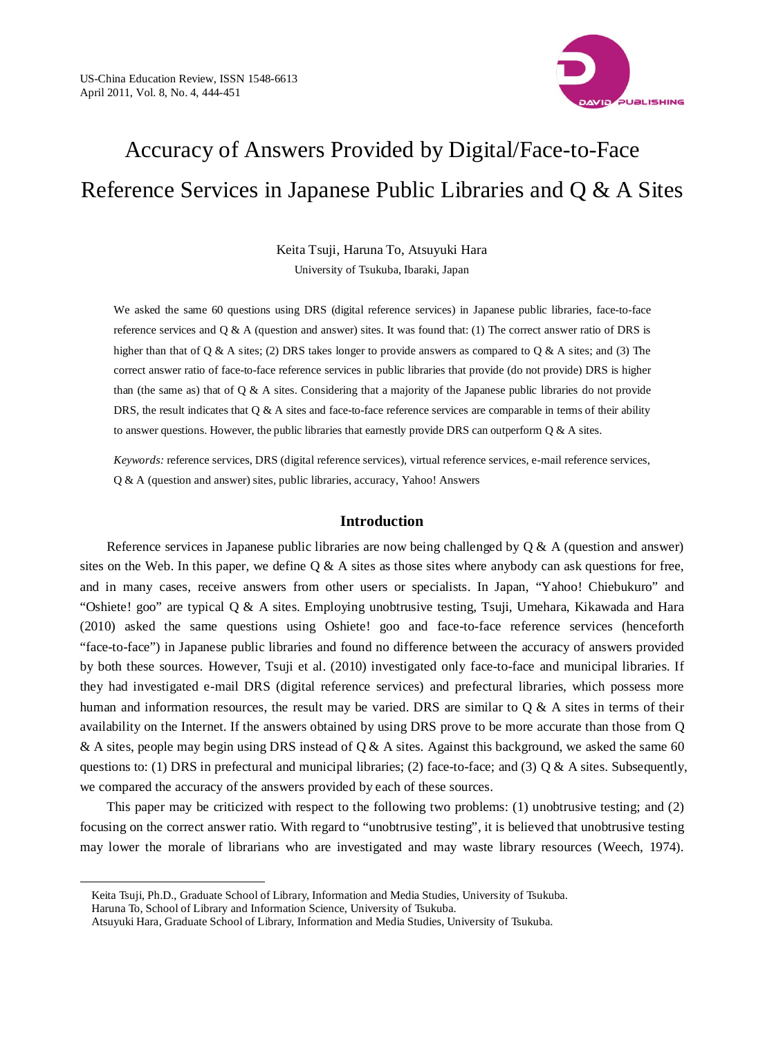

# Accuracy of Answers Provided by Digital/Face-to-Face Reference Services in Japanese Public Libraries and Q & A Sites

Keita Tsuji, Haruna To, Atsuyuki Hara University of Tsukuba, Ibaraki, Japan

We asked the same 60 questions using DRS (digital reference services) in Japanese public libraries, face-to-face reference services and Q & A (question and answer) sites. It was found that: (1) The correct answer ratio of DRS is higher than that of Q & A sites; (2) DRS takes longer to provide answers as compared to Q & A sites; and (3) The correct answer ratio of face-to-face reference services in public libraries that provide (do not provide) DRS is higher than (the same as) that of  $Q \& A$  sites. Considering that a majority of the Japanese public libraries do not provide DRS, the result indicates that  $Q \& A$  sites and face-to-face reference services are comparable in terms of their ability to answer questions. However, the public libraries that earnestly provide DRS can outperform  $Q \& A$  sites.

*Keywords:* reference services, DRS (digital reference services), virtual reference services, e-mail reference services, Q & A (question and answer) sites, public libraries, accuracy, Yahoo! Answers

### **Introduction**

Reference services in Japanese public libraries are now being challenged by  $Q & A$  (question and answer) sites on the Web. In this paper, we define  $Q \& A$  sites as those sites where anybody can ask questions for free, and in many cases, receive answers from other users or specialists. In Japan, "Yahoo! Chiebukuro" and "Oshiete! goo" are typical Q & A sites. Employing unobtrusive testing, Tsuji, Umehara, Kikawada and Hara (2010) asked the same questions using Oshiete! goo and face-to-face reference services (henceforth "face-to-face") in Japanese public libraries and found no difference between the accuracy of answers provided by both these sources. However, Tsuji et al. (2010) investigated only face-to-face and municipal libraries. If they had investigated e-mail DRS (digital reference services) and prefectural libraries, which possess more human and information resources, the result may be varied. DRS are similar to  $Q \& A$  sites in terms of their availability on the Internet. If the answers obtained by using DRS prove to be more accurate than those from Q & A sites, people may begin using DRS instead of  $\dot{Q}$  & A sites. Against this background, we asked the same 60 questions to: (1) DRS in prefectural and municipal libraries; (2) face-to-face; and (3)  $\mathbb{Q} \&$  A sites. Subsequently, we compared the accuracy of the answers provided by each of these sources.

This paper may be criticized with respect to the following two problems: (1) unobtrusive testing; and (2) focusing on the correct answer ratio. With regard to "unobtrusive testing", it is believed that unobtrusive testing may lower the morale of librarians who are investigated and may waste library resources (Weech, 1974).

-

Keita Tsuji, Ph.D., Graduate School of Library, Information and Media Studies, University of Tsukuba. Haruna To, School of Library and Information Science, University of Tsukuba.

Atsuyuki Hara, Graduate School of Library, Information and Media Studies, University of Tsukuba.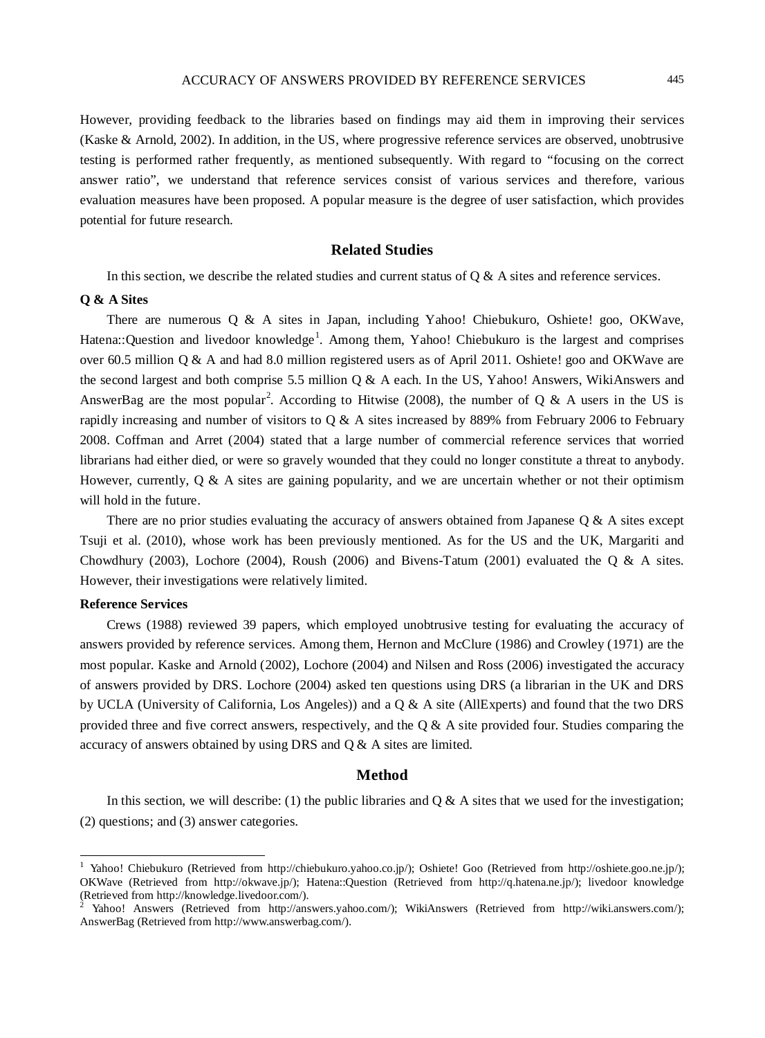However, providing feedback to the libraries based on findings may aid them in improving their services (Kaske & Arnold, 2002). In addition, in the US, where progressive reference services are observed, unobtrusive testing is performed rather frequently, as mentioned subsequently. With regard to "focusing on the correct answer ratio", we understand that reference services consist of various services and therefore, various evaluation measures have been proposed. A popular measure is the degree of user satisfaction, which provides potential for future research.

## **Related Studies**

In this section, we describe the related studies and current status of  $\alpha \& \Delta$  sites and reference services.

#### **Q & A Sites**

There are numerous Q & A sites in Japan, including Yahoo! Chiebukuro, Oshiete! goo, OKWave, Hatena::Question and livedoor knowledge<sup>[1](#page-1-0)</sup>. Among them, Yahoo! Chiebukuro is the largest and comprises over 60.5 million Q & A and had 8.0 million registered users as of April 2011. Oshiete! goo and OKWave are the second largest and both comprise 5.5 million Q & A each. In the US, Yahoo! Answers, WikiAnswers and AnswerBag are the most popular<sup>[2](#page-1-1)</sup>. According to Hitwise (2008), the number of Q & A users in the US is rapidly increasing and number of visitors to Q & A sites increased by 889% from February 2006 to February 2008. Coffman and Arret (2004) stated that a large number of commercial reference services that worried librarians had either died, or were so gravely wounded that they could no longer constitute a threat to anybody. However, currently,  $\overline{O} \& A$  sites are gaining popularity, and we are uncertain whether or not their optimism will hold in the future.

There are no prior studies evaluating the accuracy of answers obtained from Japanese Q & A sites except Tsuji et al. (2010), whose work has been previously mentioned. As for the US and the UK, Margariti and Chowdhury (2003), Lochore (2004), Roush (2006) and Bivens-Tatum (2001) evaluated the Q & A sites. However, their investigations were relatively limited.

#### **Reference Services**

Crews (1988) reviewed 39 papers, which employed unobtrusive testing for evaluating the accuracy of answers provided by reference services. Among them, Hernon and McClure (1986) and Crowley (1971) are the most popular. Kaske and Arnold (2002), Lochore (2004) and Nilsen and Ross (2006) investigated the accuracy of answers provided by DRS. Lochore (2004) asked ten questions using DRS (a librarian in the UK and DRS by UCLA (University of California, Los Angeles)) and a Q & A site (AllExperts) and found that the two DRS provided three and five correct answers, respectively, and the  $Q \& A$  site provided four. Studies comparing the accuracy of answers obtained by using DRS and Q & A sites are limited.

#### **Method**

In this section, we will describe: (1) the public libraries and  $Q \& A$  sites that we used for the investigation; (2) questions; and (3) answer categories.

<span id="page-1-0"></span><sup>&</sup>lt;sup>1</sup> Yahoo! Chiebukuro (Retrieved from [http://chiebukuro.yahoo.co.jp/\)](http://chiebukuro.yahoo.co.jp/); Oshiete! Goo (Retrieved from [http://oshiete.goo.ne.jp/\)](http://oshiete.goo.ne.jp/); OKWave (Retrieved from [http://okwave.jp/\)](http://okwave.jp/); Hatena::Question (Retrieved from http://q.hatena.ne.jp/); livedoor knowledge (Retrieved from http://knowledge.livedoor.com/).<br><sup>2</sup> Yahoo! Answers (Retrieved from [http://answers.yahoo.com/\)](http://answers.yahoo.com/); WikiAnswers (Retrieved from [http://wiki.answers.com/\)](http://wiki.answers.com/);

<span id="page-1-1"></span>AnswerBag (Retrieved from http://www.answerbag.com/).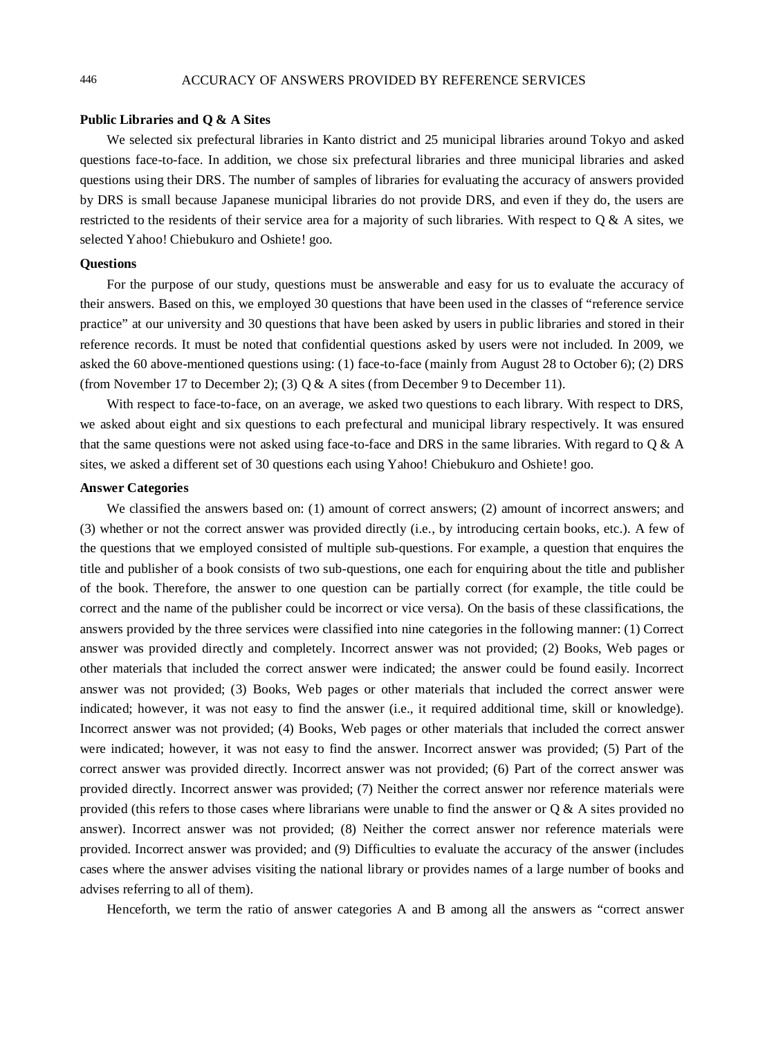#### **Public Libraries and Q & A Sites**

We selected six prefectural libraries in Kanto district and 25 municipal libraries around Tokyo and asked questions face-to-face. In addition, we chose six prefectural libraries and three municipal libraries and asked questions using their DRS. The number of samples of libraries for evaluating the accuracy of answers provided by DRS is small because Japanese municipal libraries do not provide DRS, and even if they do, the users are restricted to the residents of their service area for a majority of such libraries. With respect to Q & A sites, we selected Yahoo! Chiebukuro and Oshiete! goo.

#### **Questions**

For the purpose of our study, questions must be answerable and easy for us to evaluate the accuracy of their answers. Based on this, we employed 30 questions that have been used in the classes of "reference service practice" at our university and 30 questions that have been asked by users in public libraries and stored in their reference records. It must be noted that confidential questions asked by users were not included. In 2009, we asked the 60 above-mentioned questions using: (1) face-to-face (mainly from August 28 to October 6); (2) DRS (from November 17 to December 2); (3)  $Q & A$  sites (from December 9 to December 11).

With respect to face-to-face, on an average, we asked two questions to each library. With respect to DRS, we asked about eight and six questions to each prefectural and municipal library respectively. It was ensured that the same questions were not asked using face-to-face and DRS in the same libraries. With regard to Q & A sites, we asked a different set of 30 questions each using Yahoo! Chiebukuro and Oshiete! goo.

#### **Answer Categories**

We classified the answers based on: (1) amount of correct answers; (2) amount of incorrect answers; and (3) whether or not the correct answer was provided directly (i.e., by introducing certain books, etc.). A few of the questions that we employed consisted of multiple sub-questions. For example, a question that enquires the title and publisher of a book consists of two sub-questions, one each for enquiring about the title and publisher of the book. Therefore, the answer to one question can be partially correct (for example, the title could be correct and the name of the publisher could be incorrect or vice versa). On the basis of these classifications, the answers provided by the three services were classified into nine categories in the following manner: (1) Correct answer was provided directly and completely. Incorrect answer was not provided; (2) Books, Web pages or other materials that included the correct answer were indicated; the answer could be found easily. Incorrect answer was not provided; (3) Books, Web pages or other materials that included the correct answer were indicated; however, it was not easy to find the answer (i.e., it required additional time, skill or knowledge). Incorrect answer was not provided; (4) Books, Web pages or other materials that included the correct answer were indicated; however, it was not easy to find the answer. Incorrect answer was provided; (5) Part of the correct answer was provided directly. Incorrect answer was not provided; (6) Part of the correct answer was provided directly. Incorrect answer was provided; (7) Neither the correct answer nor reference materials were provided (this refers to those cases where librarians were unable to find the answer or  $Q \& A$  sites provided no answer). Incorrect answer was not provided; (8) Neither the correct answer nor reference materials were provided. Incorrect answer was provided; and (9) Difficulties to evaluate the accuracy of the answer (includes cases where the answer advises visiting the national library or provides names of a large number of books and advises referring to all of them).

Henceforth, we term the ratio of answer categories A and B among all the answers as "correct answer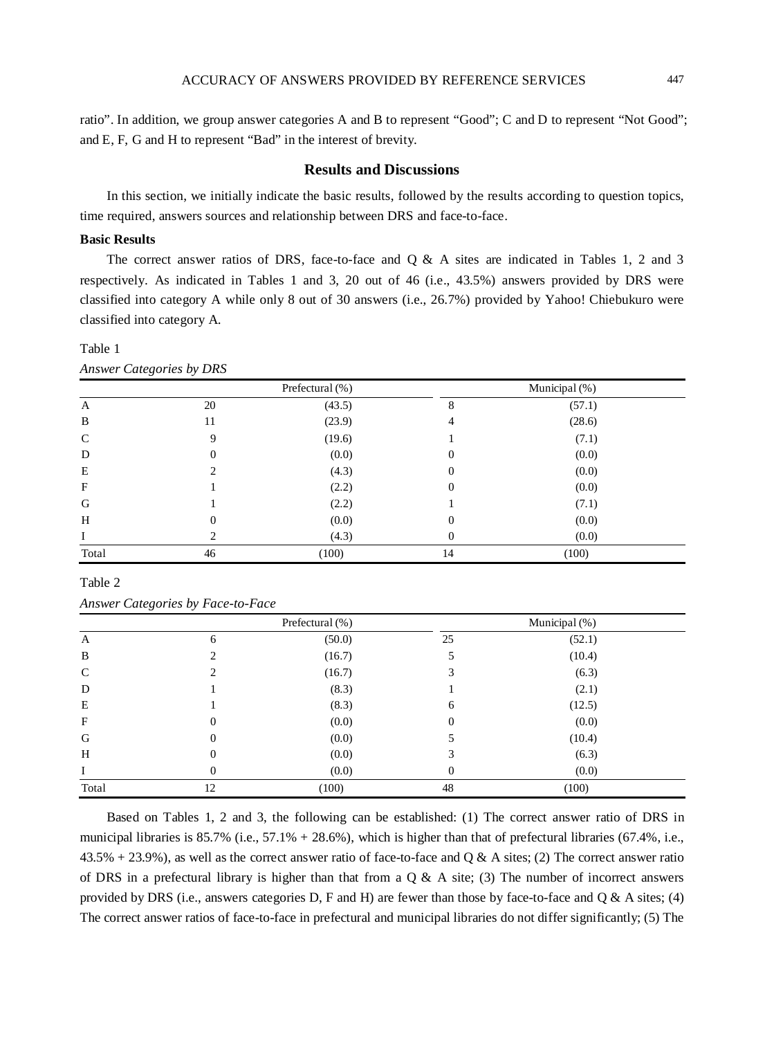ratio". In addition, we group answer categories A and B to represent "Good"; C and D to represent "Not Good"; and E, F, G and H to represent "Bad" in the interest of brevity.

# **Results and Discussions**

In this section, we initially indicate the basic results, followed by the results according to question topics, time required, answers sources and relationship between DRS and face-to-face.

#### **Basic Results**

The correct answer ratios of DRS, face-to-face and Q & A sites are indicated in Tables 1, 2 and 3 respectively. As indicated in Tables 1 and 3, 20 out of 46 (i.e., 43.5%) answers provided by DRS were classified into category A while only 8 out of 30 answers (i.e., 26.7%) provided by Yahoo! Chiebukuro were classified into category A.

Table 1

*Answer Categories by DRS*

|               | Prefectural (%) |        |    | Municipal (%) |
|---------------|-----------------|--------|----|---------------|
| A             | 20              | (43.5) | 8  | (57.1)        |
| B             | 11              | (23.9) | 4  | (28.6)        |
| $\mathcal{C}$ | 9               | (19.6) |    | (7.1)         |
| D             | $\mathbf{0}$    | (0.0)  | 0  | (0.0)         |
| E             |                 | (4.3)  | 0  | (0.0)         |
| $\mathbf F$   |                 | (2.2)  | 0  | (0.0)         |
| G             |                 | (2.2)  |    | (7.1)         |
| H             | $\overline{0}$  | (0.0)  | 0  | (0.0)         |
|               | ∍               | (4.3)  | 0  | (0.0)         |
| Total         | 46              | (100)  | 14 | (100)         |

Table 2

*Answer Categories by Face-to-Face*

|            | Prefectural (%)  |        | Municipal (%) |        |  |
|------------|------------------|--------|---------------|--------|--|
| A          | 6                | (50.0) | 25            | (52.1) |  |
| B          | ◠                | (16.7) |               | (10.4) |  |
| C          |                  | (16.7) | 3             | (6.3)  |  |
| D          |                  | (8.3)  |               | (2.1)  |  |
| E          |                  | (8.3)  | 6             | (12.5) |  |
| $_{\rm F}$ | $\boldsymbol{0}$ | (0.0)  | $\theta$      | (0.0)  |  |
| G          | 0                | (0.0)  |               | (10.4) |  |
| H          | $\boldsymbol{0}$ | (0.0)  |               | (6.3)  |  |
|            | $\boldsymbol{0}$ | (0.0)  | $\Omega$      | (0.0)  |  |
| Total      | 12               | (100)  | 48            | (100)  |  |

Based on Tables 1, 2 and 3, the following can be established: (1) The correct answer ratio of DRS in municipal libraries is  $85.7\%$  (i.e.,  $57.1\% + 28.6\%$ ), which is higher than that of prefectural libraries (67.4%, i.e.,  $43.5\% + 23.9\%$ ), as well as the correct answer ratio of face-to-face and Q & A sites; (2) The correct answer ratio of DRS in a prefectural library is higher than that from a  $Q & A$  site; (3) The number of incorrect answers provided by DRS (i.e., answers categories D, F and H) are fewer than those by face-to-face and  $Q & A$  sites; (4) The correct answer ratios of face-to-face in prefectural and municipal libraries do not differ significantly; (5) The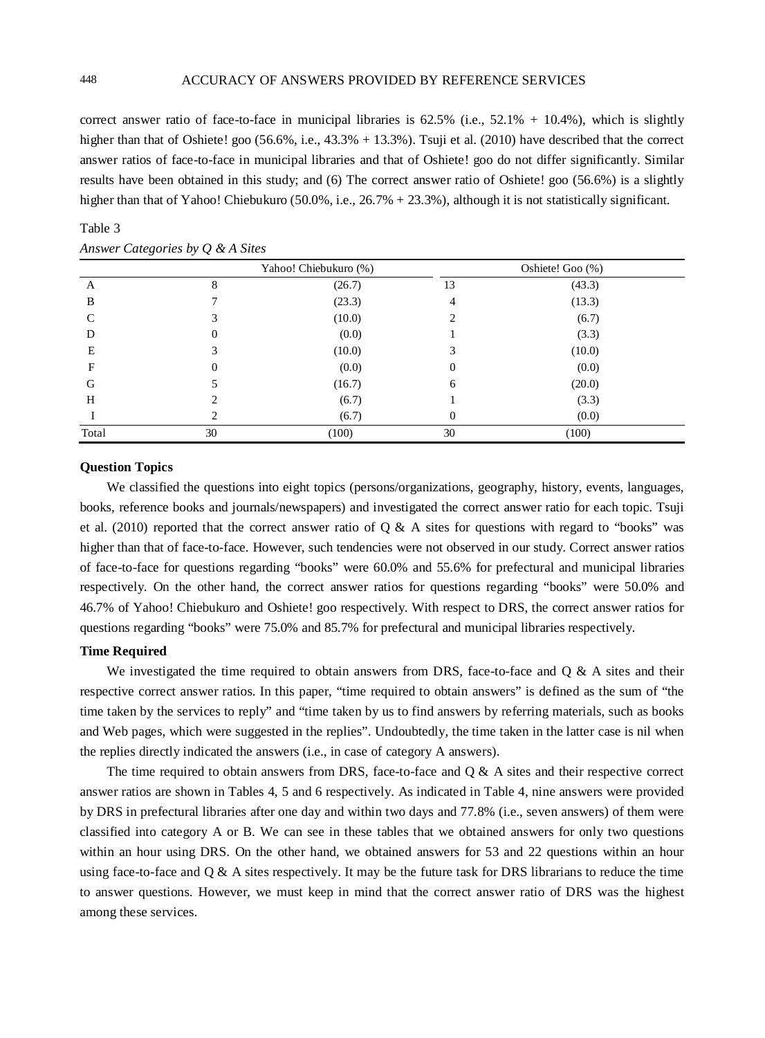correct answer ratio of face-to-face in municipal libraries is  $62.5\%$  (i.e.,  $52.1\% + 10.4\%$ ), which is slightly higher than that of Oshiete! goo (56.6%, i.e., 43.3% + 13.3%). Tsuji et al. (2010) have described that the correct answer ratios of face-to-face in municipal libraries and that of Oshiete! goo do not differ significantly. Similar results have been obtained in this study; and (6) The correct answer ratio of Oshiete! goo (56.6%) is a slightly higher than that of Yahoo! Chiebukuro (50.0%, i.e., 26.7% + 23.3%), although it is not statistically significant.

|       | $\circ$<br>$\sim$ $\sim$ |        |                  |        |  |
|-------|--------------------------|--------|------------------|--------|--|
|       | Yahoo! Chiebukuro (%)    |        | Oshiete! Goo (%) |        |  |
| A     | 8                        | (26.7) | 13               | (43.3) |  |
| B     |                          | (23.3) | 4                | (13.3) |  |
| C     | 3                        | (10.0) |                  | (6.7)  |  |
| D     | 0                        | (0.0)  |                  | (3.3)  |  |
| Е     |                          | (10.0) |                  | (10.0) |  |
| F     | $\overline{0}$           | (0.0)  | 0                | (0.0)  |  |
| G     |                          | (16.7) | 6                | (20.0) |  |
| H     | 2                        | (6.7)  |                  | (3.3)  |  |
|       | 2                        | (6.7)  | 0                | (0.0)  |  |
| Total | 30                       | (100)  | 30               | (100)  |  |

# Table 3 *Answer Categories by Q & A Sites*

#### **Question Topics**

We classified the questions into eight topics (persons/organizations, geography, history, events, languages, books, reference books and journals/newspapers) and investigated the correct answer ratio for each topic. Tsuji et al. (2010) reported that the correct answer ratio of  $Q & A$  sites for questions with regard to "books" was higher than that of face-to-face. However, such tendencies were not observed in our study. Correct answer ratios of face-to-face for questions regarding "books" were 60.0% and 55.6% for prefectural and municipal libraries respectively. On the other hand, the correct answer ratios for questions regarding "books" were 50.0% and 46.7% of Yahoo! Chiebukuro and Oshiete! goo respectively. With respect to DRS, the correct answer ratios for questions regarding "books" were 75.0% and 85.7% for prefectural and municipal libraries respectively.

#### **Time Required**

We investigated the time required to obtain answers from DRS, face-to-face and  $Q \& A$  sites and their respective correct answer ratios. In this paper, "time required to obtain answers" is defined as the sum of "the time taken by the services to reply" and "time taken by us to find answers by referring materials, such as books and Web pages, which were suggested in the replies". Undoubtedly, the time taken in the latter case is nil when the replies directly indicated the answers (i.e., in case of category A answers).

The time required to obtain answers from DRS, face-to-face and Q & A sites and their respective correct answer ratios are shown in Tables 4, 5 and 6 respectively. As indicated in Table 4, nine answers were provided by DRS in prefectural libraries after one day and within two days and 77.8% (i.e., seven answers) of them were classified into category A or B. We can see in these tables that we obtained answers for only two questions within an hour using DRS. On the other hand, we obtained answers for 53 and 22 questions within an hour using face-to-face and  $Q \& A$  sites respectively. It may be the future task for DRS librarians to reduce the time to answer questions. However, we must keep in mind that the correct answer ratio of DRS was the highest among these services.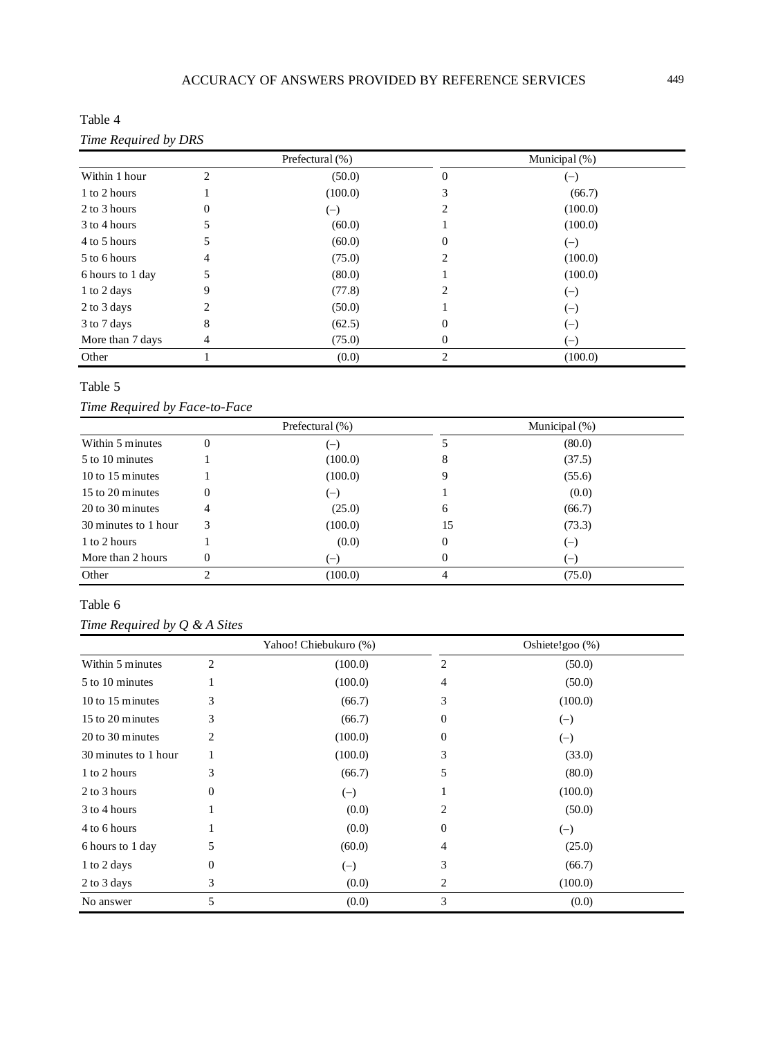Table 4 *Time Required by DRS*

| $\ldots$ $\ldots$ $\ldots$ $\ldots$ | Prefectural (%) |         | Municipal (%)    |         |  |
|-------------------------------------|-----------------|---------|------------------|---------|--|
| Within 1 hour                       | $\mathfrak{D}$  | (50.0)  | $\theta$         | $(-)$   |  |
| 1 to 2 hours                        |                 | (100.0) |                  | (66.7)  |  |
| 2 to 3 hours                        | 0               | $(-)$   |                  | (100.0) |  |
| 3 to 4 hours                        |                 | (60.0)  |                  | (100.0) |  |
| 4 to 5 hours                        |                 | (60.0)  | 0                | $(-)$   |  |
| 5 to 6 hours                        | 4               | (75.0)  |                  | (100.0) |  |
| 6 hours to 1 day                    | 5               | (80.0)  |                  | (100.0) |  |
| 1 to 2 days                         | 9               | (77.8)  |                  | $(-)$   |  |
| 2 to 3 days                         | ∍               | (50.0)  |                  | $(-)$   |  |
| 3 to 7 days                         | 8               | (62.5)  | $\left( \right)$ | $(-)$   |  |
| More than 7 days                    | 4               | (75.0)  | 0                | $(-)$   |  |
| Other                               |                 | (0.0)   | っ                | (100.0) |  |

# Table 5

# *Time Required by Face-to-Face*

|                      |          | Prefectural (%)          | Municipal (%) |                |  |
|----------------------|----------|--------------------------|---------------|----------------|--|
| Within 5 minutes     | $\theta$ | $\overline{\phantom{a}}$ |               | (80.0)         |  |
| 5 to 10 minutes      |          | (100.0)                  | 8             | (37.5)         |  |
| 10 to 15 minutes     |          | (100.0)                  |               | (55.6)         |  |
| 15 to 20 minutes     | 0        | $(-)$                    |               | (0.0)          |  |
| 20 to 30 minutes     | 4        | (25.0)                   | 6             | (66.7)         |  |
| 30 minutes to 1 hour | 3        | (100.0)                  | 15            | (73.3)         |  |
| 1 to 2 hours         |          | (0.0)                    | $\theta$      | $(-)$          |  |
| More than 2 hours    | $\Omega$ | $(-)$                    | 0             | $\blacksquare$ |  |
| Other                | ◠        | (100.0)                  | 4             | (75.0)         |  |

# Table 6

*Time Required by Q & A Sites*

|                      | Yahoo! Chiebukuro (%) |         |          | Oshiete!goo (%) |  |  |
|----------------------|-----------------------|---------|----------|-----------------|--|--|
| Within 5 minutes     | 2                     | (100.0) | 2        | (50.0)          |  |  |
| 5 to 10 minutes      |                       | (100.0) | 4        | (50.0)          |  |  |
| 10 to 15 minutes     | 3                     | (66.7)  | 3        | (100.0)         |  |  |
| 15 to 20 minutes     | 3                     | (66.7)  | $\Omega$ | $(-)$           |  |  |
| 20 to 30 minutes     | 2                     | (100.0) | 0        | $(-)$           |  |  |
| 30 minutes to 1 hour |                       | (100.0) | 3        | (33.0)          |  |  |
| 1 to 2 hours         | 3                     | (66.7)  | 5        | (80.0)          |  |  |
| 2 to 3 hours         | 0                     | $(-)$   |          | (100.0)         |  |  |
| 3 to 4 hours         |                       | (0.0)   | 2        | (50.0)          |  |  |
| 4 to 6 hours         |                       | (0.0)   | $\theta$ | $(-)$           |  |  |
| 6 hours to 1 day     | 5                     | (60.0)  | 4        | (25.0)          |  |  |
| 1 to 2 days          | 0                     | $(-)$   | 3        | (66.7)          |  |  |
| 2 to 3 days          | 3                     | (0.0)   | 2        | (100.0)         |  |  |
| No answer            | 5                     | (0.0)   | 3        | (0.0)           |  |  |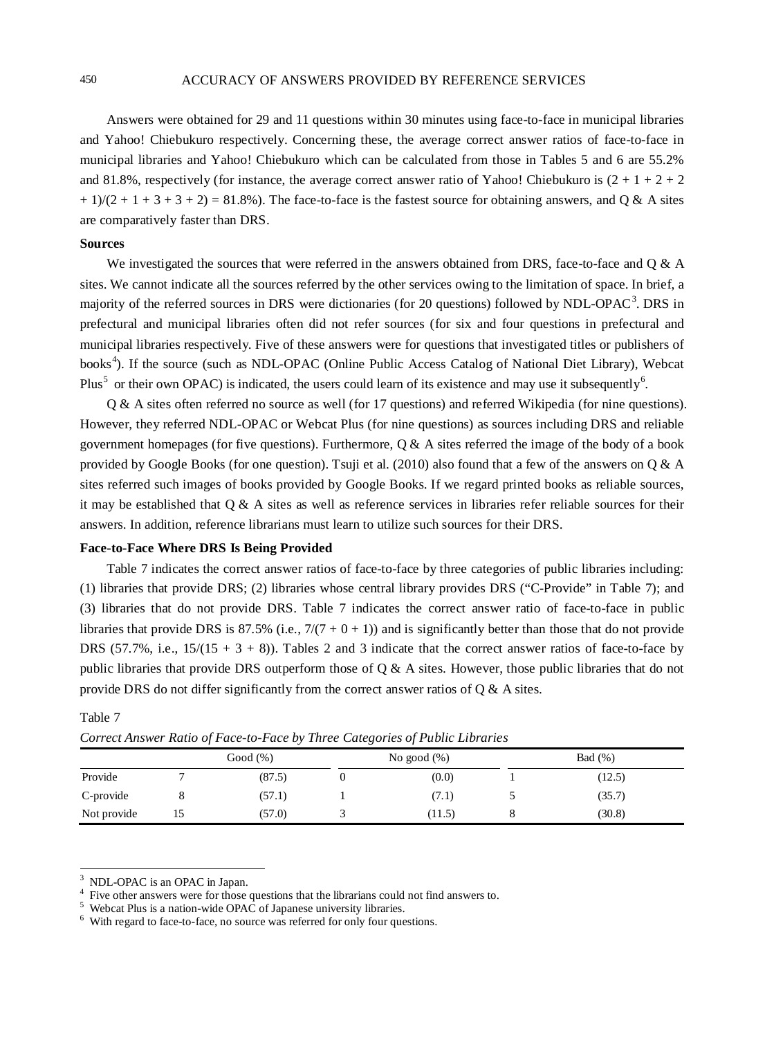#### 450 ACCURACY OF ANSWERS PROVIDED BY REFERENCE SERVICES

Answers were obtained for 29 and 11 questions within 30 minutes using face-to-face in municipal libraries and Yahoo! Chiebukuro respectively. Concerning these, the average correct answer ratios of face-to-face in municipal libraries and Yahoo! Chiebukuro which can be calculated from those in Tables 5 and 6 are 55.2% and 81.8%, respectively (for instance, the average correct answer ratio of Yahoo! Chiebukuro is  $(2 + 1 + 2 + 2)$  $+1/(2 + 1 + 3 + 3 + 2) = 81.8\%$ . The face-to-face is the fastest source for obtaining answers, and O & A sites are comparatively faster than DRS.

#### **Sources**

Table 7

We investigated the sources that were referred in the answers obtained from DRS, face-to-face and Q & A sites. We cannot indicate all the sources referred by the other services owing to the limitation of space. In brief, a majority of the referred sources in DRS were dictionaries (for 20 questions) followed by NDL-OPAC<sup>[3](#page-6-0)</sup>. DRS in prefectural and municipal libraries often did not refer sources (for six and four questions in prefectural and municipal libraries respectively. Five of these answers were for questions that investigated titles or publishers of books<sup>[4](#page-6-1)</sup>). If the source (such as NDL-OPAC (Online Public Access Catalog of National Diet Library), Webcat Plus<sup>[5](#page-6-2)</sup> or their own OPAC) is indicated, the users could learn of its existence and may use it subsequently<sup>[6](#page-6-3)</sup>.

Q & A sites often referred no source as well (for 17 questions) and referred Wikipedia (for nine questions). However, they referred NDL-OPAC or Webcat Plus (for nine questions) as sources including DRS and reliable government homepages (for five questions). Furthermore,  $Q \& A$  sites referred the image of the body of a book provided by Google Books (for one question). Tsuji et al. (2010) also found that a few of the answers on  $\alpha \& A$ sites referred such images of books provided by Google Books. If we regard printed books as reliable sources, it may be established that Q & A sites as well as reference services in libraries refer reliable sources for their answers. In addition, reference librarians must learn to utilize such sources for their DRS.

#### **Face-to-Face Where DRS Is Being Provided**

Table 7 indicates the correct answer ratios of face-to-face by three categories of public libraries including: (1) libraries that provide DRS; (2) libraries whose central library provides DRS ("C-Provide" in Table 7); and (3) libraries that do not provide DRS. Table 7 indicates the correct answer ratio of face-to-face in public libraries that provide DRS is 87.5% (i.e.,  $7/(7 + 0 + 1)$ ) and is significantly better than those that do not provide DRS (57.7%, i.e.,  $15/(15 + 3 + 8)$ ). Tables 2 and 3 indicate that the correct answer ratios of face-to-face by public libraries that provide DRS outperform those of  $Q \& A$  sites. However, those public libraries that do not provide DRS do not differ significantly from the correct answer ratios of Q & A sites.

|             | Good $(\%)$ | No good $(\%)$ |  | Bad (%) |  |
|-------------|-------------|----------------|--|---------|--|
| Provide     | (87.5)      | (0.0)          |  | (12.5)  |  |
| C-provide   | (57.1)      | (7.1)          |  | (35.7)  |  |
| Not provide | (57.0)      | (11.5)         |  | (30.8)  |  |

# *Correct Answer Ratio of Face-to-Face by Three Categories of Public Libraries*

<span id="page-6-1"></span><span id="page-6-0"></span><sup>&</sup>lt;sup>3</sup> NDL-OPAC is an OPAC in Japan.<br>
<sup>4</sup> Five other answers were for those questions that the librarians could not find answers to.<br>
<sup>5</sup> Webcat Plus is a nation-wide OPAC of Japanese university libraries.<br>
<sup>6</sup> With regard t

<span id="page-6-3"></span><span id="page-6-2"></span>